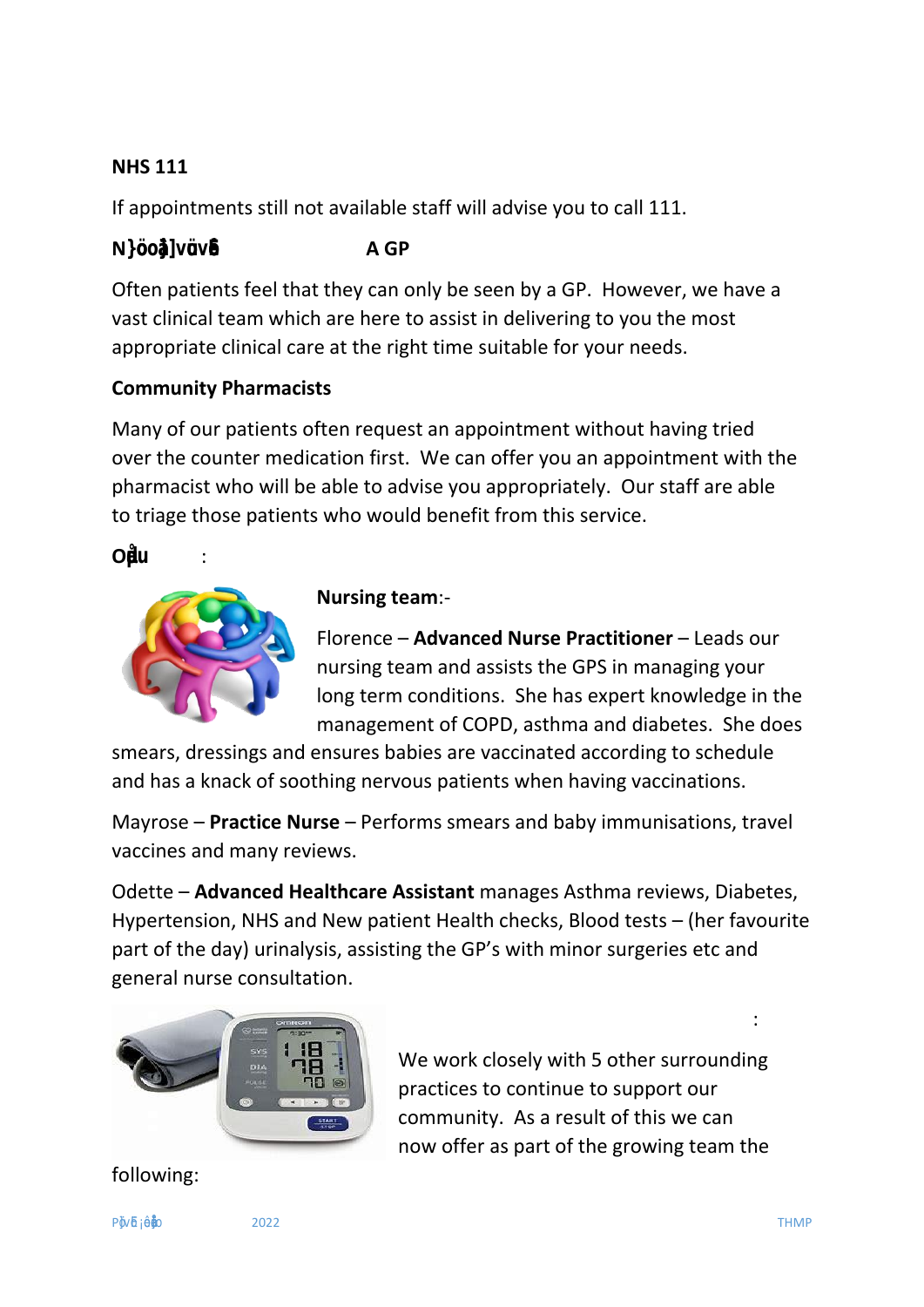## **NHS 111**

If appointments still not available staff will advise you to call 111.

# **N}šoo‰}]všuvš•E A GP**

Often patients feel that they can only be seen by a GP. However, we have a vast clinical team which are here to assist in delivering to you the most appropriate clinical care at the right time suitable for your needs.

# **Community Pharmacists**

Many of our patients often request an appointment without having tried over the counter medication first. We can offer you an appointment with the pharmacist who will be able to advise you appropriately. Our staff are able to triage those patients who would benefit from this service.

### **OµŒd-u** :



#### **Nursing team**:-

Florence – **Advanced Nurse Practitioner** – Leads our nursing team and assists the GPS in managing your long term conditions. She has expert knowledge in the management of COPD, asthma and diabetes. She does

smears, dressings and ensures babies are vaccinated according to schedule and has a knack of soothing nervous patients when having vaccinations.

Mayrose – **Practice Nurse** – Performs smears and baby immunisations, travel vaccines and many reviews.

Odette – **Advanced Healthcare Assistant** manages Asthma reviews, Diabetes, Hypertension, NHS and New patient Health checks, Blood tests – (her favourite part of the day) urinalysis, assisting the GP's with minor surgeries etc and general nurse consultation.



# **OUR PCN (Primary Care Network) team**:

We work closely with 5 other surrounding practices to continue to support our community. As a result of this we can now offer as part of the growing team the

following: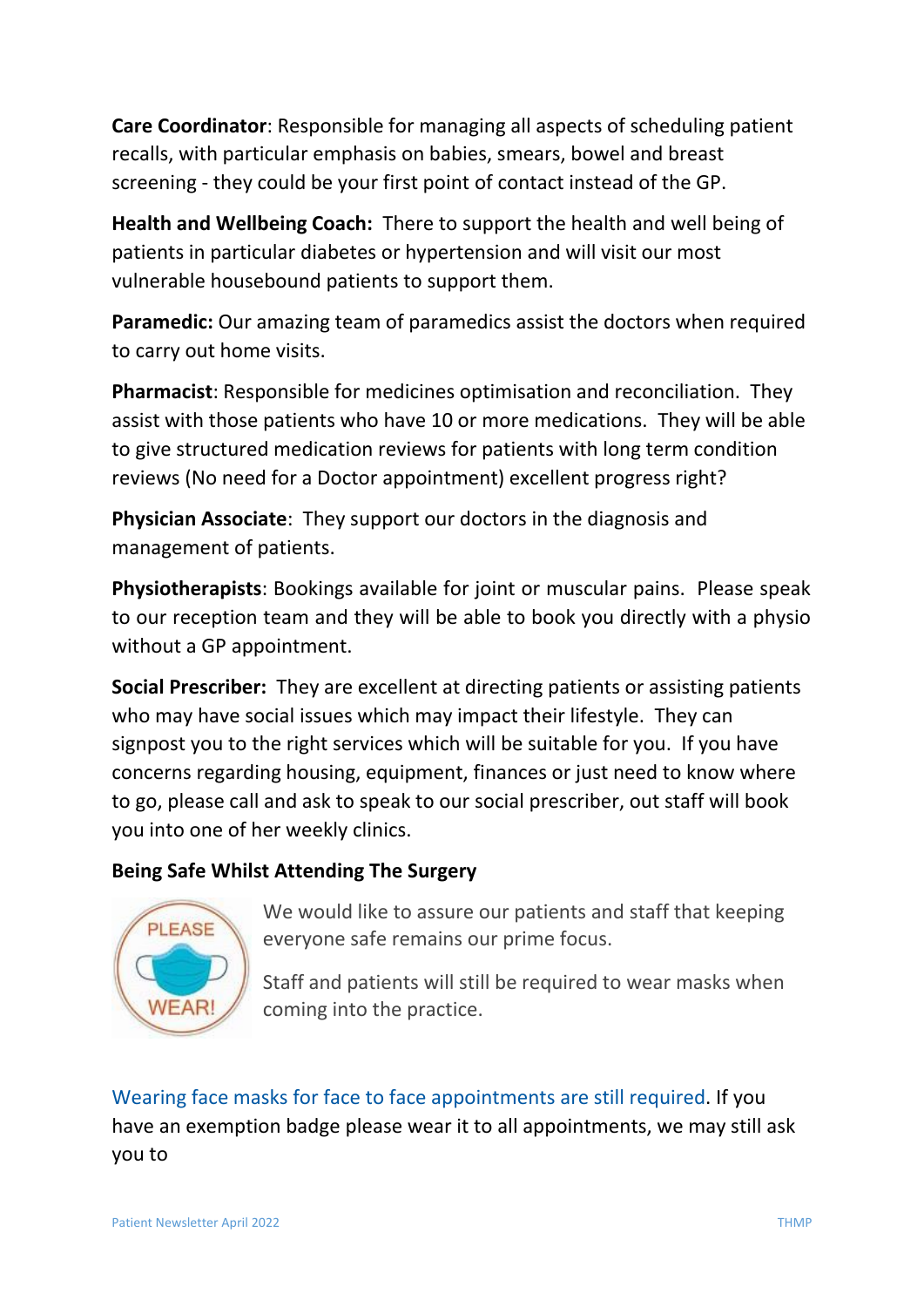**Care Coordinator**: Responsible for managing all aspects of scheduling patient recalls, with particular emphasis on babies, smears, bowel and breast screening - they could be your first point of contact instead of the GP.

**Health and Wellbeing Coach:** There to support the health and well being of patients in particular diabetes or hypertension and will visit our most vulnerable housebound patients to support them.

**Paramedic:** Our amazing team of paramedics assist the doctors when required to carry out home visits.

**Pharmacist**: Responsible for medicines optimisation and reconciliation. They assist with those patients who have 10 or more medications. They will be able to give structured medication reviews for patients with long term condition reviews (No need for a Doctor appointment) excellent progress right?

**Physician Associate**: They support our doctors in the diagnosis and management of patients.

**Physiotherapists**: Bookings available for joint or muscular pains. Please speak to our reception team and they will be able to book you directly with a physio without a GP appointment.

**Social Prescriber:** They are excellent at directing patients or assisting patients who may have social issues which may impact their lifestyle. They can signpost you to the right services which will be suitable for you. If you have concerns regarding housing, equipment, finances or just need to know where to go, please call and ask to speak to our social prescriber, out staff will book you into one of her weekly clinics.

#### **Being Safe Whilst Attending The Surgery**



We would like to assure our patients and staff that keeping everyone safe remains our prime focus.

Staff and patients will still be required to wear masks when coming into the practice.

Wearing face masks for face to face appointments are still required. If you have an exemption badge please wear it to all appointments, we may still ask you to